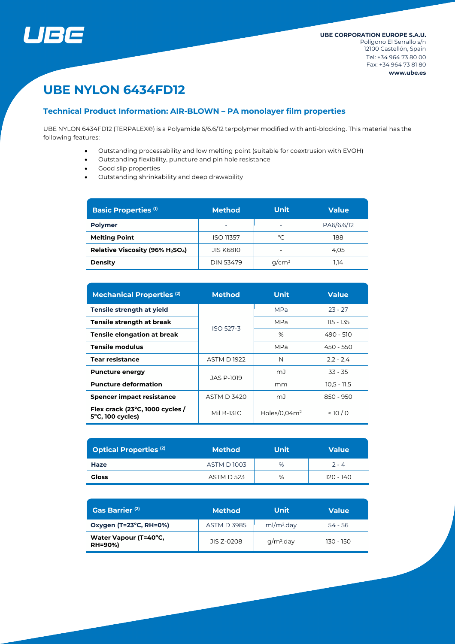

# **UBE NYLON 6434FD12**

## **Technical Product Information: AIR-BLOWN – PA monolayer film properties**

UBE NYLON 6434FD12 (TERPALEX®) is a Polyamide 6/6.6/12 terpolymer modified with anti-blocking. This material has the following features:

- Outstanding processability and low melting point (suitable for coextrusion with EVOH)
- Outstanding flexibility, puncture and pin hole resistance
- Good slip properties
- Outstanding shrinkability and deep drawability

| <b>Basic Properties (1)</b>                              | <b>Method</b>    | <b>Unit</b> | <b>Value</b> |  |
|----------------------------------------------------------|------------------|-------------|--------------|--|
| <b>Polymer</b>                                           |                  |             | PA6/6.6/12   |  |
| <b>Melting Point</b>                                     | <b>ISO 11357</b> | °C          | 188          |  |
| Relative Viscosity (96% H <sub>2</sub> SO <sub>4</sub> ) | <b>JIS K6810</b> |             | 4.05         |  |
| <b>Density</b>                                           | <b>DIN 53479</b> | $q/cm^3$    | 1.14         |  |

| <b>Mechanical Properties (2)</b>                                         | <b>Method</b>      | <b>Unit</b>     | <b>Value</b>  |  |
|--------------------------------------------------------------------------|--------------------|-----------------|---------------|--|
| Tensile strength at yield                                                |                    | <b>MPa</b>      | $23 - 27$     |  |
| Tensile strength at break                                                | <b>ISO 527-3</b>   | <b>MPa</b>      | 115 - 135     |  |
| <b>Tensile elongation at break</b>                                       |                    | %               | 490 - 510     |  |
| <b>Tensile modulus</b>                                                   |                    | <b>MPa</b>      | 450 - 550     |  |
| <b>Tear resistance</b>                                                   | <b>ASTM D1922</b>  | N               | $2,2 - 2,4$   |  |
| <b>Puncture energy</b>                                                   | JAS P-1019         | mJ              | $33 - 35$     |  |
| <b>Puncture deformation</b>                                              |                    | mm              | $10,5 - 11,5$ |  |
| <b>Spencer impact resistance</b>                                         | <b>ASTM D 3420</b> | mJ              | 850 - 950     |  |
| Flex crack (23 $^{\circ}$ C, 1000 cycles /<br>$5^{\circ}$ C, 100 cycles) | Mil B-131C         | Holes/0.04 $m2$ | 10/0          |  |

| <b>Optical Properties (2)</b> | <b>Method</b>     | Unit | <b>Value</b> |  |
|-------------------------------|-------------------|------|--------------|--|
| Haze                          | <b>ASTM D1003</b> | %    | $2 - 4$      |  |
| <b>Gloss</b>                  | <b>ASTM D 523</b> | %    | 120 - 140    |  |

| Gas Barrier <sup>(2)</sup>              | <b>Method</b>      | Unit                   | <b>Value</b> |  |
|-----------------------------------------|--------------------|------------------------|--------------|--|
| Oxygen (T=23°C, RH=0%)                  | <b>ASTM D 3985</b> | ml/m <sup>2</sup> .day | $54 - 56$    |  |
| Water Vapour (T=40°C,<br><b>RH=90%)</b> | JIS 7-0208         | $g/m2$ .day            | 130 - 150    |  |